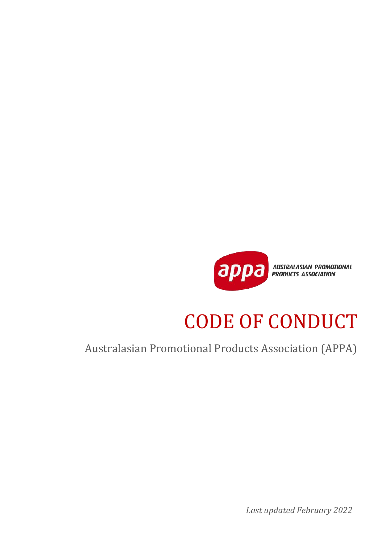

# CODE OF CONDUCT

Australasian Promotional Products Association (APPA)

*Last updated February 2022*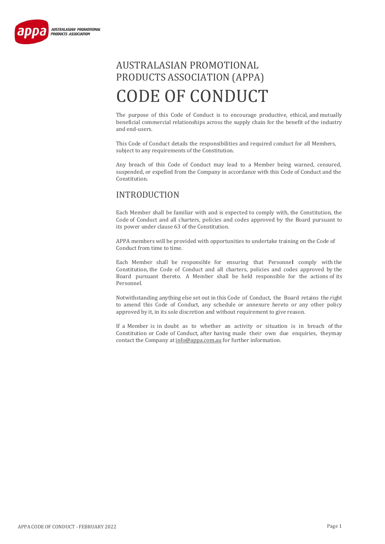

# AUSTRALASIAN PROMOTIONAL PRODUCTS ASSOCIATION (APPA) CODE OF CONDUCT

The purpose of this Code of Conduct is to encourage productive, ethical, and mutually beneficial commercial relationships across the supply chain for the benefit of the industry and end-users.

This Code of Conduct details the responsibilities and required conduct for all Members, subject to any requirements of the Constitution.

Any breach of this Code of Conduct may lead to a Member being warned, censured, suspended, or expelled from the Company in accordance with this Code of Conduct and the Constitution.

# INTRODUCTION

Each Member shall be familiar with and is expected to comply with, the Constitution, the Code of Conduct and all charters, policies and codes approved by the Board pursuant to its power under clause 63 of the Constitution.

APPA members will be provided with opportunities to undertake training on the Code of Conduct from time to time.

Each Member shall be responsible for ensuring that Personne**l** comply with the Constitution, the Code of Conduct and all charters, policies and codes approved by the Board pursuant thereto. A Member shall be held responsible for the actions of its Personnel.

Notwithstanding anything else set out in this Code of Conduct, the Board retains the right to amend this Code of Conduct, any schedule or annexure hereto or any other policy approved by it, in its sole discretion and without requirement to give reason.

If a Member is in doubt as to whether an activity or situation is in breach of the Constitution or Code of Conduct, after having made their own due enquiries, theymay contact the Company a[t info@appa.com.au](mailto:info@appa.com.au) for further information.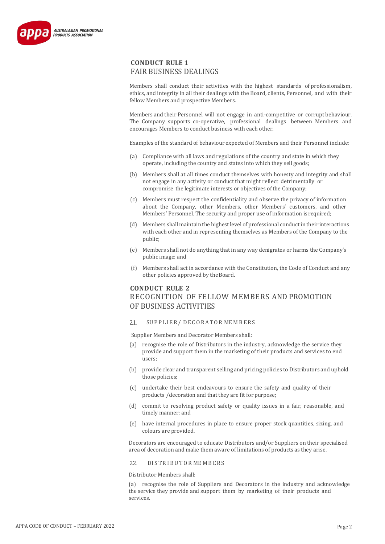

Members shall conduct their activities with the highest standards of professionalism, ethics, and integrity in all their dealings with the Board, clients, Personnel, and with their fellow Members and prospective Members.

Members and their Personnel will not engage in anti-competitive or corrupt behaviour. The Company supports co-operative, professional dealings between Members and encourages Members to conduct business with each other.

Examples of the standard of behaviour expected of Members and their Personnel include:

- (a) Compliance with all laws and regulations of the country and state in which they operate, including the country and states into which they sell goods;
- (b) Members shall at all times conduct themselves with honesty and integrity and shall not engage in any activity or conduct that might reflect detrimentally or compromise the legitimate interests or objectives of the Company;
- (c) Members must respect the confidentiality and observe the privacy of information about the Company, other Members, other Members' customers, and other Members' Personnel. The security and proper use of information is required;
- (d) Members shall maintain the highestlevel of professional conductin their interactions with each other and in representing themselves as Members of the Company to the public;
- (e) Members shall not do anything that in any way denigrates or harms the Company's public image; and
- (f) Members shall act in accordance with the Constitution, the Code of Conduct and any other policies approved by theBoard.

# **CONDUCT RULE 2** RECOGNITION OF FELLOW MEMBERS AND PROMOTION OF BUSINESS ACTIVITIES

# 2.1. SUPPLIER / DECORATOR MEMBERS

Supplier Members and Decorator Members shall:

- (a) recognise the role of Distributors in the industry, acknowledge the service they provide and support them in the marketing of their products and services to end users;
- (b) provide clear and transparent selling and pricing policies to Distributors and uphold those policies;
- (c) undertake their best endeavours to ensure the safety and quality of their products /decoration and that they are fit for purpose;
- (d) commit to resolving product safety or quality issues in a fair, reasonable, and timely manner; and
- (e) have internal procedures in place to ensure proper stock quantities, sizing, and colours are provided.

Decorators are encouraged to educate Distributors and/or Suppliers on their specialised area of decoration and make them aware of limitations of products as they arise.

#### 22. DISTRIBUTOR MEMBERS

Distributor Members shall:

(a) recognise the role of Suppliers and Decorators in the industry and acknowledge the service they provide and support them by marketing of their products and services.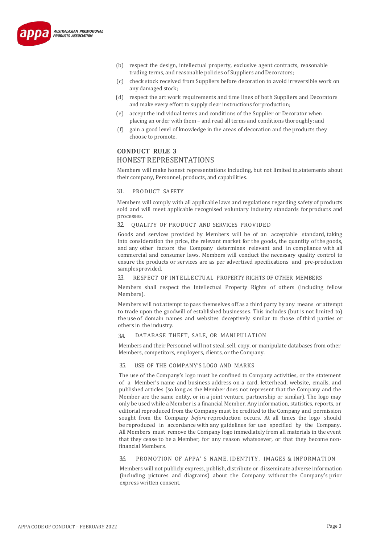

- (b) respect the design, intellectual property, exclusive agent contracts, reasonable trading terms, and reasonable policies of Suppliers and Decorators;
- (c) check stock received from Suppliers before decoration to avoid irreversible work on any damaged stock;
- (d) respect the art work requirements and time lines of both Suppliers and Decorators and make every effort to supply clear instructions for production;
- (e) accept the individual terms and conditions of the Supplier or Decorator when placing an order with them – and read all terms and conditions thoroughly; and
- (f) gain a good level of knowledge in the areas of decoration and the products they choose to promote.

# **CONDUCT RULE 3** HONEST REPRESENTATIONS

Members will make honest representations including, but not limited to,statements about their company, Personnel, products, and capabilities.

# 3.1. PRODUCT SAFETY

Members will comply with all applicable laws and regulations regarding safety of products sold and will meet applicable recognised voluntary industry standards forproducts and processes.

3.2. QUALITY OF PRODUCT AND SERVICES PROVIDED

Goods and services provided by Members will be of an acceptable standard, taking into consideration the price, the relevant market for the goods, the quantity of the goods, and any other factors the Company determines relevant and in compliance with all commercial and consumer laws. Members will conduct the necessary quality control to ensure the products or services are as per advertised specifications and pre-production samples provided.

#### 3.3. RESPECT OF INTELLECTUAL PROPERTY RIGHTS OF OTHER MEMBERS

Members shall respect the Intellectual Property Rights of others (including fellow Members).

Members will not attempt to pass themselves off as a third party by any means or attempt to trade upon the goodwill of established businesses. This includes (but is not limited to) the use of domain names and websites deceptively similar to those of third parties or others in the industry.

## 3.4. DATABASE THEFT, SALE, OR MANIPULATION

Members and their Personnel will not steal, sell, copy, or manipulate databases from other Members, competitors, employers, clients, or the Company.

## 3.5. USE OF THE COMPANY'S LOGO AND MARKS

The use of the Company's logo must be confined to Company activities, or the statement of a Member's name and business address on a card, letterhead, website, emails, and published articles (so long as the Member does not represent that the Company and the Member are the same entity, or in a joint venture, partnership or similar). The logo may only be used while a Member is a financial Member. Any information, statistics, reports, or editorial reproduced from the Company must be credited to the Company and permission sought from the Company *before* reproduction occurs. At all times the logo should be reproduced in accordance with any guidelines for use specified by the Company. All Members must remove the Company logo immediately from all materials in the event that they cease to be a Member, for any reason whatsoever, or that they become nonfinancial Members.

# 3.6. PROMOTION OF APPA' S NAME, IDENTITY, IMAGES & INFORMATION

Members will not publicly express, publish, distribute or disseminate adverse information (including pictures and diagrams) about the Company without the Company's prior express written consent.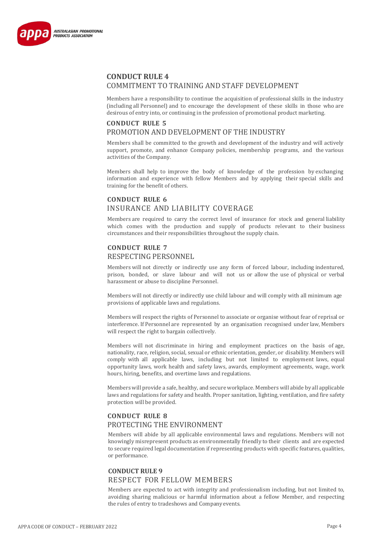

# **CONDUCT RULE 4** COMMITMENT TO TRAINING AND STAFF DEVELOPMENT

Members have a responsibility to continue the acquisition of professional skills in the industry (including all Personnel) and to encourage the development of these skills in those who are desirous of entry into, or continuing in the profession of promotional product marketing.

# **CONDUCT RULE 5** PROMOTION AND DEVELOPMENT OF THE INDUSTRY

Members shall be committed to the growth and development of the industry and will actively support, promote, and enhance Company policies, membership programs, and the various activities of the Company.

Members shall help to improve the body of knowledge of the profession by exchanging information and experience with fellow Members and by applying their special skills and training for the benefit of others.

# **CONDUCT RULE 6** INSURANCE AND LIABILITY COVERAGE

Members are required to carry the correct level of insurance for stock and general liability which comes with the production and supply of products relevant to their business circumstances and their responsibilities throughout the supply chain.

# **CONDUCT RULE 7** RESPECTING PERSONNEL

Members will not directly or indirectly use any form of forced labour, including indentured, prison, bonded, or slave labour and will not us or allow the use of physical or verbal harassment or abuse to discipline Personnel.

Members will not directly or indirectly use child labour and will comply with all minimum age provisions of applicable laws and regulations.

Members will respect the rights of Personnel to associate or organise without fear of reprisal or interference. If Personnel are represented by an organisation recognised under law, Members will respect the right to bargain collectively.

Members will not discriminate in hiring and employment practices on the basis of age, nationality, race, religion, social, sexual or ethnic orientation, gender, or disability. Members will comply with all applicable laws, including but not limited to employment laws, equal opportunity laws, work health and safety laws, awards, employment agreements, wage, work hours, hiring, benefits, and overtime laws and regulations.

Members will provide a safe, healthy, and secure workplace. Members will abide by all applicable laws and regulations for safety and health. Proper sanitation, lighting, ventilation, and fire safety protection will be provided.

# **CONDUCT RULE 8** PROTECTING THE ENVIRONMENT

Members will abide by all applicable environmental laws and regulations. Members will not knowingly misrepresent products as environmentally friendly to their clients and are expected to secure required legal documentation if representing products with specific features, qualities, or performance.

# **CONDUCT RULE 9** RESPECT FOR FELLOW MEMBERS

Members are expected to act with integrity and professionalism including, but not limited to, avoiding sharing malicious or harmful information about a fellow Member, and respecting the rules of entry to tradeshows and Companyevents.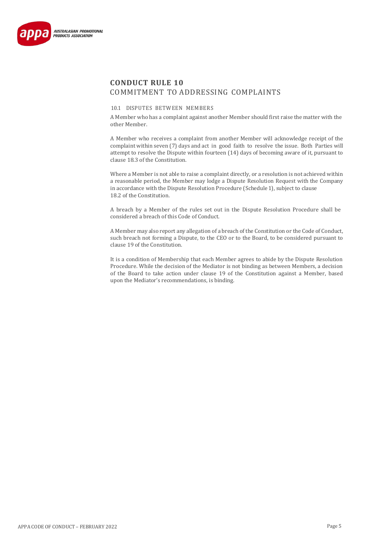

# **CONDUCT RULE 10** COMMITMENT TO ADDRESSING COMPLAINTS

#### 10.1 DISPUTES BETWEEN MEMBERS

A Member who has a complaint against another Member should first raise the matter with the other Member.

A Member who receives a complaint from another Member will acknowledge receipt of the complaint within seven (7) days and act in good faith to resolve the issue. Both Parties will attempt to resolve the Dispute within fourteen (14) days of becoming aware of it, pursuant to clause 18.3 of the Constitution.

Where a Member is not able to raise a complaint directly, or a resolution is not achieved within a reasonable period, the Member may lodge a Dispute Resolution Request with the Company in accordance with the Dispute Resolution Procedure (Schedule1), subject to clause 18.2 of the Constitution.

A breach by a Member of the rules set out in the Dispute Resolution Procedure shall be considered a breach of this Code of Conduct.

A Member may also report any allegation of a breach of the Constitution or the Code of Conduct, such breach not forming a Dispute, to the CEO or to the Board, to be considered pursuant to clause 19 of the Constitution.

It is a condition of Membership that each Member agrees to abide by the Dispute Resolution Procedure. While the decision of the Mediator is not binding as between Members, a decision of the Board to take action under clause 19 of the Constitution against a Member, based upon the Mediator's recommendations, is binding.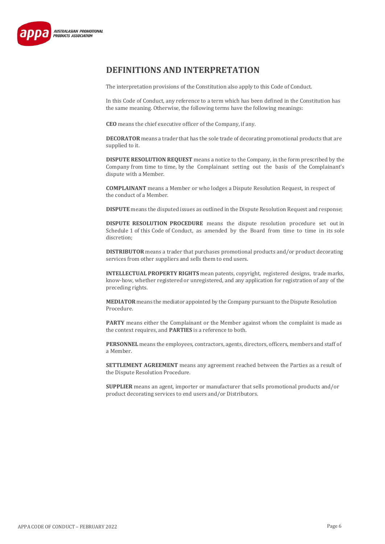

# **DEFINITIONS AND INTERPRETATION**

The interpretation provisions of the Constitution also apply to this Code of Conduct.

In this Code of Conduct, any reference to a term which has been defined in the Constitution has the same meaning. Otherwise, the following terms have the following meanings:

**CEO** means the chief executive officer of the Company, if any.

**DECORATOR** means a trader that has the sole trade of decorating promotional products that are supplied to it.

**DISPUTE RESOLUTION REQUEST** means a notice to the Company, in the form prescribed by the Company from time to time, by the Complainant setting out the basis of the Complainant's dispute with a Member.

**COMPLAINANT** means a Member or who lodges a Dispute Resolution Request, in respect of the conduct of a Member.

**DISPUTE** means the disputed issues as outlined in the Dispute Resolution Request and response;

**DISPUTE RESOLUTION PROCEDURE** means the dispute resolution procedure set out in Schedule 1 of this Code of Conduct, as amended by the Board from time to time in its sole discretion;

**DISTRIBUTOR** means a trader that purchases promotional products and/or product decorating services from other suppliers and sells them to end users.

**INTELLECTUAL PROPERTY RIGHTS** mean patents, copyright, registered designs, trade marks, know-how, whether registered or unregistered, and any application for registration of any of the preceding rights.

**MEDIATOR** means the mediator appointed by the Company pursuant to the Dispute Resolution Procedure.

**PARTY** means either the Complainant or the Member against whom the complaint is made as the context requires, and **PARTIES** is a reference to both.

**PERSONNEL** means the employees, contractors, agents, directors, officers, members and staff of a Member.

**SETTLEMENT AGREEMENT** means any agreement reached between the Parties as a result of the Dispute Resolution Procedure.

**SUPPLIER** means an agent, importer or manufacturer that sells promotional products and/or product decorating services to end users and/or Distributors.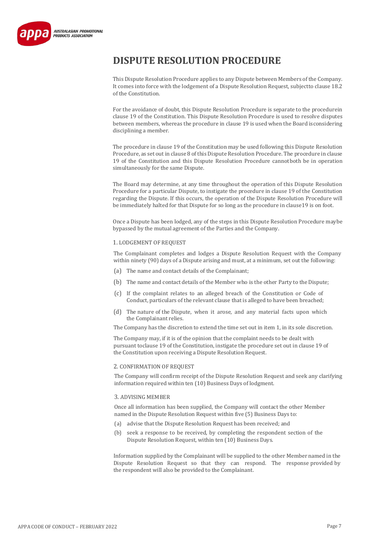

# **DISPUTE RESOLUTION PROCEDURE**

This Dispute Resolution Procedure applies to any Dispute between Members of the Company. It comes into force with the lodgement of a Dispute Resolution Request, subjectto clause 18.2 of the Constitution.

For the avoidance of doubt, this Dispute Resolution Procedure is separate to the procedurein clause 19 of the Constitution. This Dispute Resolution Procedure is used to resolve disputes between members, whereas the procedure in clause 19 is used when the Board isconsidering disciplining a member.

The procedure in clause 19 of the Constitution may be used following this Dispute Resolution Procedure, as set out in clause 8 of this Dispute Resolution Procedure. The procedure in clause 19 of the Constitution and this Dispute Resolution Procedure cannotboth be in operation simultaneously for the same Dispute.

The Board may determine, at any time throughout the operation of this Dispute Resolution Procedure for a particular Dispute, to instigate the procedure in clause 19 of the Constitution regarding the Dispute. If this occurs, the operation of the Dispute Resolution Procedure will be immediately halted for that Dispute for so long as the procedure in clause19 is on foot.

Once a Dispute has been lodged, any of the steps in this Dispute Resolution Procedure maybe bypassed by the mutual agreement of the Parties and the Company.

#### 1. LODGEMENT OF REQUEST

The Complainant completes and lodges a Dispute Resolution Request with the Company within ninety (90) days of a Dispute arising and must, at a minimum, set out the following:

- (a) The name and contact details of the Complainant;
- (b) The name and contact details of the Member who is the other Party to the Dispute;
- (c) If the complaint relates to an alleged breach of the Constitution or Code of Conduct, particulars of the relevant clause that is alleged to have been breached;
- (d) The nature of the Dispute, when it arose, and any material facts upon which the Complainant relies.

The Company has the discretion to extend the time set out in item 1, in its sole discretion.

The Company may, if it is of the opinion that the complaint needs to be dealt with pursuant toclause 19 of the Constitution, instigate the procedure set out in clause 19 of the Constitution upon receiving a Dispute Resolution Request.

### 2. CONFIRMATION OF REQUEST

The Company will confirm receipt of the Dispute Resolution Request and seek any clarifying information required within ten (10) Business Days of lodgment.

# 3. ADVISING MEMBER

Once all information has been supplied, the Company will contact the other Member named in the Dispute Resolution Request within five (5) Business Days to:

- (a) advise that the Dispute Resolution Request has been received; and
- (b) seek a response to be received, by completing the respondent section of the Dispute Resolution Request, within ten (10) Business Days.

Information supplied by the Complainant will be supplied to the other Member named in the Dispute Resolution Request so that they can respond. The response provided by the respondent will also be provided to the Complainant.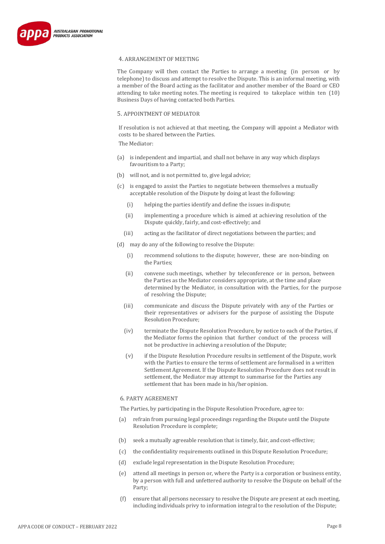

#### 4. ARRANGEMENT OF MEETING

The Company will then contact the Parties to arrange a meeting (in person or by telephone) to discuss and attempt to resolve the Dispute. This is an informal meeting, with a member of the Board acting as the facilitator and another member of the Board or CEO attending to take meeting notes. The meeting is required to takeplace within ten (10) Business Days of having contacted both Parties.

#### 5. APPOINTMENT OF MEDIATOR

If resolution is not achieved at that meeting, the Company will appoint a Mediator with costs to be shared between the Parties.

The Mediator:

- (a) is independent and impartial, and shall not behave in any way which displays favouritism to a Party;
- (b) will not, and is not permitted to, give legal advice;
- (c) is engaged to assist the Parties to negotiate between themselves a mutually acceptable resolution of the Dispute by doing at least the following:
	- (i) helping the parties identify and define the issues indispute;
	- (ii) implementing a procedure which is aimed at achieving resolution of the Dispute quickly, fairly, and cost-effectively; and
	- (iii) acting as the facilitator of direct negotiations between theparties; and
- (d) may do any of the following to resolve the Dispute:
	- (i) recommend solutions to the dispute; however, these are non-binding on the Parties;
	- (ii) convene such meetings, whether by teleconference or in person, between the Parties as the Mediator considers appropriate, at the time and place determined by the Mediator, in consultation with the Parties, for the purpose of resolving the Dispute;
	- (iii) communicate and discuss the Dispute privately with any of the Parties or their representatives or advisers for the purpose of assisting the Dispute Resolution Procedure;
	- (iv) terminate the Dispute Resolution Procedure, by notice to each of the Parties, if the Mediator forms the opinion that further conduct of the process will not be productive in achieving a resolution of the Dispute;
	- (v) if the Dispute Resolution Procedure results in settlement of the Dispute, work with the Parties to ensure the terms of settlement are formalised in a written Settlement Agreement. If the Dispute Resolution Procedure does not result in settlement, the Mediator may attempt to summarise for the Parties any settlement that has been made in his/her opinion.

## 6. PARTY AGREEMENT

The Parties, by participating in the Dispute Resolution Procedure, agree to:

- (a) refrain from pursuing legal proceedings regarding the Dispute until the Dispute Resolution Procedure is complete;
- (b) seek a mutually agreeable resolution that is timely, fair, and cost-effective;
- (c) the confidentiality requirements outlined in thisDispute Resolution Procedure;
- (d) exclude legal representation in the Dispute Resolution Procedure;
- (e) attend all meetings in person or, where the Party is a corporation or business entity, by a person with full and unfettered authority to resolve the Dispute on behalf of the Party;
- (f) ensure that all persons necessary to resolve the Dispute are present at each meeting, including individuals privy to information integral to the resolution of the Dispute;